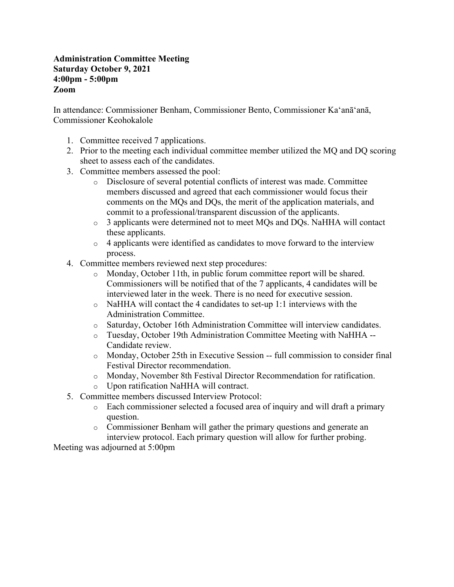#### **Administration Committee Meeting Saturday October 9, 2021 4:00pm - 5:00pm Zoom**

In attendance: Commissioner Benham, Commissioner Bento, Commissioner Kaʻanāʻanā, Commissioner Keohokalole

- 1. Committee received 7 applications.
- 2. Prior to the meeting each individual committee member utilized the MQ and DQ scoring sheet to assess each of the candidates.
- 3. Committee members assessed the pool:
	- o Disclosure of several potential conflicts of interest was made. Committee members discussed and agreed that each commissioner would focus their comments on the MQs and DQs, the merit of the application materials, and commit to a professional/transparent discussion of the applicants.
	- o 3 applicants were determined not to meet MQs and DQs. NaHHA will contact these applicants.
	- $\circ$  4 applicants were identified as candidates to move forward to the interview process.
- 4. Committee members reviewed next step procedures:
	- o Monday, October 11th, in public forum committee report will be shared. Commissioners will be notified that of the 7 applicants, 4 candidates will be interviewed later in the week. There is no need for executive session.
	- o NaHHA will contact the 4 candidates to set-up 1:1 interviews with the Administration Committee.
	- o Saturday, October 16th Administration Committee will interview candidates.
	- o Tuesday, October 19th Administration Committee Meeting with NaHHA -- Candidate review.
	- o Monday, October 25th in Executive Session -- full commission to consider final Festival Director recommendation.
	- o Monday, November 8th Festival Director Recommendation for ratification.
	- o Upon ratification NaHHA will contract.
- 5. Committee members discussed Interview Protocol:
	- o Each commissioner selected a focused area of inquiry and will draft a primary question.
	- o Commissioner Benham will gather the primary questions and generate an interview protocol. Each primary question will allow for further probing.

Meeting was adjourned at 5:00pm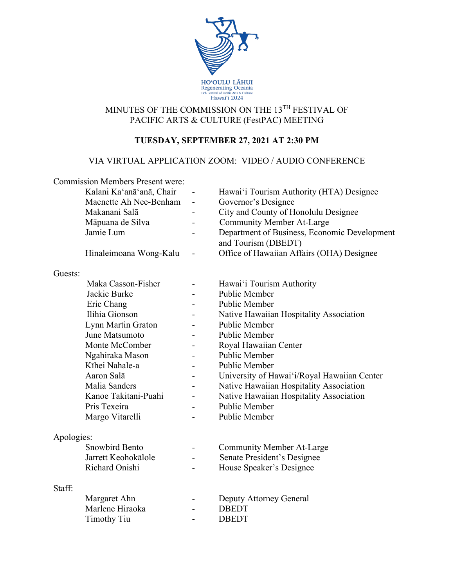

## MINUTES OF THE COMMISSION ON THE 13TH FESTIVAL OF PACIFIC ARTS & CULTURE (FestPAC) MEETING

## **TUESDAY, SEPTEMBER 27, 2021 AT 2:30 PM**

#### VIA VIRTUAL APPLICATION ZOOM: VIDEO / AUDIO CONFERENCE

| <b>Commission Members Present were:</b> |                          |                          |                                                                     |
|-----------------------------------------|--------------------------|--------------------------|---------------------------------------------------------------------|
|                                         | Kalani Ka'anā'anā, Chair |                          | Hawai'i Tourism Authority (HTA) Designee                            |
|                                         | Maenette Ah Nee-Benham   | $\overline{\phantom{a}}$ | Governor's Designee                                                 |
|                                         | Makanani Salā            | $\blacksquare$           | City and County of Honolulu Designee                                |
|                                         | Māpuana de Silva         |                          | <b>Community Member At-Large</b>                                    |
|                                         | Jamie Lum                |                          | Department of Business, Economic Development<br>and Tourism (DBEDT) |
|                                         | Hinaleimoana Wong-Kalu   |                          | Office of Hawaiian Affairs (OHA) Designee                           |
| Guests:                                 |                          |                          |                                                                     |
|                                         | Maka Casson-Fisher       |                          | Hawai'i Tourism Authority                                           |
|                                         | Jackie Burke             |                          | Public Member                                                       |
|                                         | Eric Chang               |                          | <b>Public Member</b>                                                |
|                                         | Ilihia Gionson           |                          | Native Hawaiian Hospitality Association                             |
|                                         | Lynn Martin Graton       |                          | <b>Public Member</b>                                                |
|                                         | June Matsumoto           |                          | Public Member                                                       |
|                                         | Monte McComber           |                          | Royal Hawaiian Center                                               |
|                                         | Ngahiraka Mason          |                          | <b>Public Member</b>                                                |
|                                         | Kīhei Nahale-a           |                          | Public Member                                                       |
|                                         | Aaron Salā               |                          | University of Hawai'i/Royal Hawaiian Center                         |
|                                         | Malia Sanders            |                          | Native Hawaiian Hospitality Association                             |
|                                         | Kanoe Takitani-Puahi     |                          | Native Hawaiian Hospitality Association                             |
|                                         | Pris Texeira             |                          | <b>Public Member</b>                                                |
|                                         | Margo Vitarelli          |                          | Public Member                                                       |
| Apologies:                              |                          |                          |                                                                     |
|                                         | <b>Snowbird Bento</b>    | $\overline{\phantom{a}}$ | <b>Community Member At-Large</b>                                    |
|                                         | Jarrett Keohokālole      |                          | Senate President's Designee                                         |
|                                         | Richard Onishi           |                          | House Speaker's Designee                                            |
| Staff:                                  |                          |                          |                                                                     |
|                                         | Margaret Ahn             |                          | Deputy Attorney General                                             |
|                                         | Marlene Hiraoka          |                          | <b>DBEDT</b>                                                        |
|                                         | <b>Timothy Tiu</b>       | $\blacksquare$           | <b>DBEDT</b>                                                        |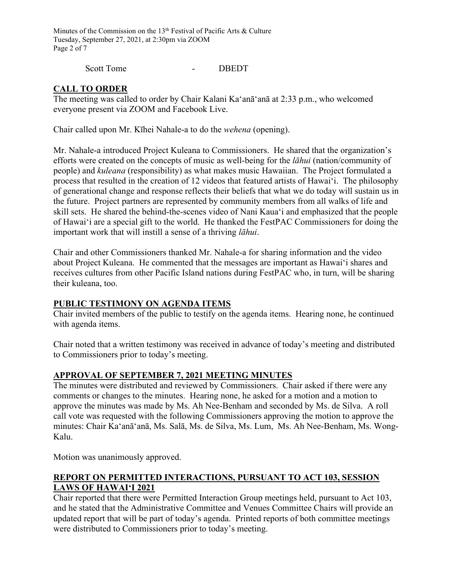Minutes of the Commission on the 13<sup>th</sup> Festival of Pacific Arts & Culture Tuesday, September 27, 2021, at 2:30pm via ZOOM Page 2 of 7

Scott Tome - DBEDT

## **CALL TO ORDER**

The meeting was called to order by Chair Kalani Ka'anā'anā at 2:33 p.m., who welcomed everyone present via ZOOM and Facebook Live.

Chair called upon Mr. Kīhei Nahale-a to do the *wehena* (opening).

Mr. Nahale-a introduced Project Kuleana to Commissioners. He shared that the organization's efforts were created on the concepts of music as well-being for the *lāhui* (nation/community of people) and *kuleana* (responsibility) as what makes music Hawaiian. The Project formulated a process that resulted in the creation of 12 videos that featured artists of Hawaiʻi. The philosophy of generational change and response reflects their beliefs that what we do today will sustain us in the future. Project partners are represented by community members from all walks of life and skill sets. He shared the behind-the-scenes video of Nani Kauaʻi and emphasized that the people of Hawaiʻi are a special gift to the world. He thanked the FestPAC Commissioners for doing the important work that will instill a sense of a thriving *lāhui*.

Chair and other Commissioners thanked Mr. Nahale-a for sharing information and the video about Project Kuleana. He commented that the messages are important as Hawaiʻi shares and receives cultures from other Pacific Island nations during FestPAC who, in turn, will be sharing their kuleana, too.

## **PUBLIC TESTIMONY ON AGENDA ITEMS**

Chair invited members of the public to testify on the agenda items. Hearing none, he continued with agenda items.

Chair noted that a written testimony was received in advance of today's meeting and distributed to Commissioners prior to today's meeting.

## **APPROVAL OF SEPTEMBER 7, 2021 MEETING MINUTES**

The minutes were distributed and reviewed by Commissioners. Chair asked if there were any comments or changes to the minutes. Hearing none, he asked for a motion and a motion to approve the minutes was made by Ms. Ah Nee-Benham and seconded by Ms. de Silva. A roll call vote was requested with the following Commissioners approving the motion to approve the minutes: Chair Ka'anā'anā, Ms. Salā, Ms. de Silva, Ms. Lum, Ms. Ah Nee-Benham, Ms. Wong-Kalu.

Motion was unanimously approved.

## **REPORT ON PERMITTED INTERACTIONS, PURSUANT TO ACT 103, SESSION LAWS OF HAWAIʻI 2021**

Chair reported that there were Permitted Interaction Group meetings held, pursuant to Act 103, and he stated that the Administrative Committee and Venues Committee Chairs will provide an updated report that will be part of today's agenda. Printed reports of both committee meetings were distributed to Commissioners prior to today's meeting.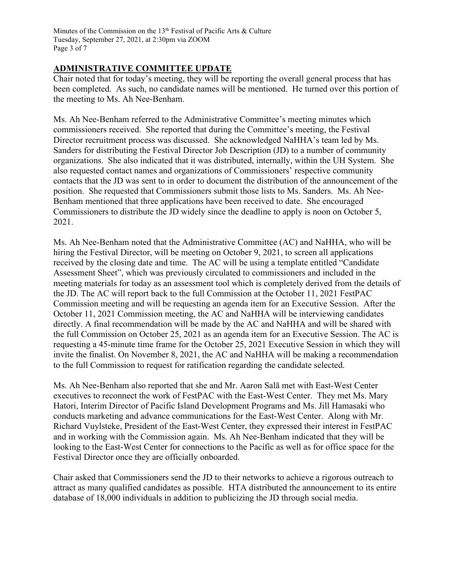#### **ADMINISTRATIVE COMMITTEE UPDATE**

Chair noted that for today's meeting, they will be reporting the overall general process that has been completed. As such, no candidate names will be mentioned. He turned over this portion of the meeting to Ms. Ah Nee-Benham.

Ms. Ah Nee-Benham referred to the Administrative Committee's meeting minutes which commissioners received. She reported that during the Committee's meeting, the Festival Director recruitment process was discussed. She acknowledged NaHHA's team led by Ms. Sanders for distributing the Festival Director Job Description (JD) to a number of community organizations. She also indicated that it was distributed, internally, within the UH System. She also requested contact names and organizations of Commissioners' respective community contacts that the JD was sent to in order to document the distribution of the announcement of the position. She requested that Commissioners submit those lists to Ms. Sanders. Ms. Ah Nee-Benham mentioned that three applications have been received to date. She encouraged Commissioners to distribute the JD widely since the deadline to apply is noon on October 5, 2021.

Ms. Ah Nee-Benham noted that the Administrative Committee (AC) and NaHHA, who will be hiring the Festival Director, will be meeting on October 9, 2021, to screen all applications received by the closing date and time. The AC will be using a template entitled "Candidate Assessment Sheet", which was previously circulated to commissioners and included in the meeting materials for today as an assessment tool which is completely derived from the details of the JD. The AC will report back to the full Commission at the October 11, 2021 FestPAC Commission meeting and will be requesting an agenda item for an Executive Session. After the October 11, 2021 Commission meeting, the AC and NaHHA will be interviewing candidates directly. A final recommendation will be made by the AC and NaHHA and will be shared with the full Commission on October 25, 2021 as an agenda item for an Executive Session. The AC is requesting a 45-minute time frame for the October 25, 2021 Executive Session in which they will invite the finalist. On November 8, 2021, the AC and NaHHA will be making a recommendation to the full Commission to request for ratification regarding the candidate selected.

Ms. Ah Nee-Benham also reported that she and Mr. Aaron Salā met with East-West Center executives to reconnect the work of FestPAC with the East-West Center. They met Ms. Mary Hatori, Interim Director of Pacific Island Development Programs and Ms. Jill Hamasaki who conducts marketing and advance communications for the East-West Center. Along with Mr. Richard Vuylsteke, President of the East-West Center, they expressed their interest in FestPAC and in working with the Commission again. Ms. Ah Nee-Benham indicated that they will be looking to the East-West Center for connections to the Pacific as well as for office space for the Festival Director once they are officially onboarded.

Chair asked that Commissioners send the JD to their networks to achieve a rigorous outreach to attract as many qualified candidates as possible. HTA distributed the announcement to its entire database of 18,000 individuals in addition to publicizing the JD through social media.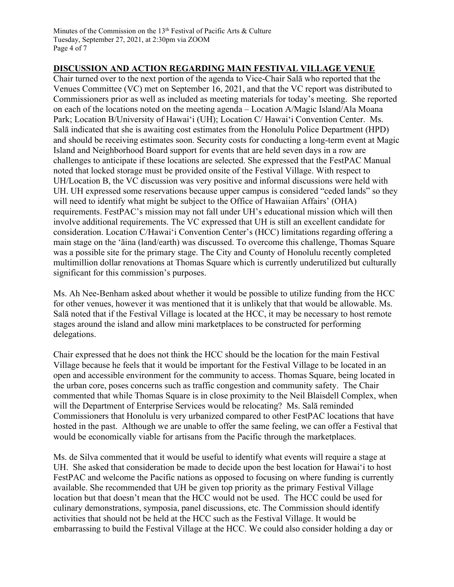#### **DISCUSSION AND ACTION REGARDING MAIN FESTIVAL VILLAGE VENUE**

Chair turned over to the next portion of the agenda to Vice-Chair Salā who reported that the Venues Committee (VC) met on September 16, 2021, and that the VC report was distributed to Commissioners prior as well as included as meeting materials for today's meeting. She reported on each of the locations noted on the meeting agenda – Location A/Magic Island/Ala Moana Park; Location B/University of Hawaiʻi (UH); Location C/ Hawaiʻi Convention Center. Ms. Salā indicated that she is awaiting cost estimates from the Honolulu Police Department (HPD) and should be receiving estimates soon. Security costs for conducting a long-term event at Magic Island and Neighborhood Board support for events that are held seven days in a row are challenges to anticipate if these locations are selected. She expressed that the FestPAC Manual noted that locked storage must be provided onsite of the Festival Village. With respect to UH/Location B, the VC discussion was very positive and informal discussions were held with UH. UH expressed some reservations because upper campus is considered "ceded lands" so they will need to identify what might be subject to the Office of Hawaiian Affairs' (OHA) requirements. FestPAC's mission may not fall under UH's educational mission which will then involve additional requirements. The VC expressed that UH is still an excellent candidate for consideration. Location C/Hawaiʻi Convention Center's (HCC) limitations regarding offering a main stage on the 'āina (land/earth) was discussed. To overcome this challenge, Thomas Square was a possible site for the primary stage. The City and County of Honolulu recently completed multimillion dollar renovations at Thomas Square which is currently underutilized but culturally significant for this commission's purposes.

Ms. Ah Nee-Benham asked about whether it would be possible to utilize funding from the HCC for other venues, however it was mentioned that it is unlikely that that would be allowable. Ms. Salā noted that if the Festival Village is located at the HCC, it may be necessary to host remote stages around the island and allow mini marketplaces to be constructed for performing delegations.

Chair expressed that he does not think the HCC should be the location for the main Festival Village because he feels that it would be important for the Festival Village to be located in an open and accessible environment for the community to access. Thomas Square, being located in the urban core, poses concerns such as traffic congestion and community safety. The Chair commented that while Thomas Square is in close proximity to the Neil Blaisdell Complex, when will the Department of Enterprise Services would be relocating? Ms. Salā reminded Commissioners that Honolulu is very urbanized compared to other FestPAC locations that have hosted in the past. Although we are unable to offer the same feeling, we can offer a Festival that would be economically viable for artisans from the Pacific through the marketplaces.

Ms. de Silva commented that it would be useful to identify what events will require a stage at UH. She asked that consideration be made to decide upon the best location for Hawaiʻi to host FestPAC and welcome the Pacific nations as opposed to focusing on where funding is currently available. She recommended that UH be given top priority as the primary Festival Village location but that doesn't mean that the HCC would not be used. The HCC could be used for culinary demonstrations, symposia, panel discussions, etc. The Commission should identify activities that should not be held at the HCC such as the Festival Village. It would be embarrassing to build the Festival Village at the HCC. We could also consider holding a day or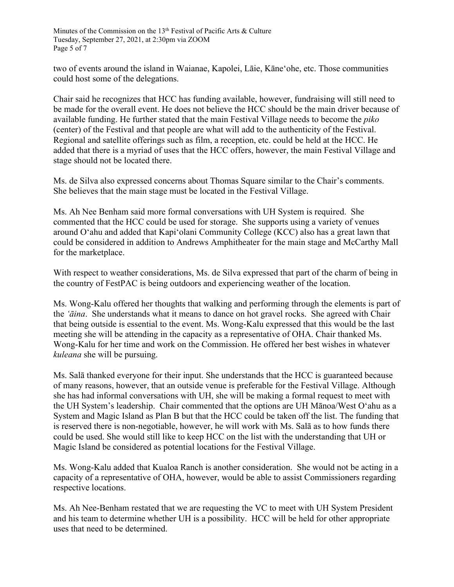Minutes of the Commission on the 13<sup>th</sup> Festival of Pacific Arts & Culture Tuesday, September 27, 2021, at 2:30pm via ZOOM Page 5 of 7

two of events around the island in Waianae, Kapolei, Lāie, Kāneʻohe, etc. Those communities could host some of the delegations.

Chair said he recognizes that HCC has funding available, however, fundraising will still need to be made for the overall event. He does not believe the HCC should be the main driver because of available funding. He further stated that the main Festival Village needs to become the *piko* (center) of the Festival and that people are what will add to the authenticity of the Festival. Regional and satellite offerings such as film, a reception, etc. could be held at the HCC. He added that there is a myriad of uses that the HCC offers, however, the main Festival Village and stage should not be located there.

Ms. de Silva also expressed concerns about Thomas Square similar to the Chair's comments. She believes that the main stage must be located in the Festival Village.

Ms. Ah Nee Benham said more formal conversations with UH System is required. She commented that the HCC could be used for storage. She supports using a variety of venues around Oʻahu and added that Kapiʻolani Community College (KCC) also has a great lawn that could be considered in addition to Andrews Amphitheater for the main stage and McCarthy Mall for the marketplace.

With respect to weather considerations, Ms. de Silva expressed that part of the charm of being in the country of FestPAC is being outdoors and experiencing weather of the location.

Ms. Wong-Kalu offered her thoughts that walking and performing through the elements is part of the *ʻāina*. She understands what it means to dance on hot gravel rocks. She agreed with Chair that being outside is essential to the event. Ms. Wong-Kalu expressed that this would be the last meeting she will be attending in the capacity as a representative of OHA. Chair thanked Ms. Wong-Kalu for her time and work on the Commission. He offered her best wishes in whatever *kuleana* she will be pursuing.

Ms. Salā thanked everyone for their input. She understands that the HCC is guaranteed because of many reasons, however, that an outside venue is preferable for the Festival Village. Although she has had informal conversations with UH, she will be making a formal request to meet with the UH System's leadership. Chair commented that the options are UH Mānoa/West Oʻahu as a System and Magic Island as Plan B but that the HCC could be taken off the list. The funding that is reserved there is non-negotiable, however, he will work with Ms. Salā as to how funds there could be used. She would still like to keep HCC on the list with the understanding that UH or Magic Island be considered as potential locations for the Festival Village.

Ms. Wong-Kalu added that Kualoa Ranch is another consideration. She would not be acting in a capacity of a representative of OHA, however, would be able to assist Commissioners regarding respective locations.

Ms. Ah Nee-Benham restated that we are requesting the VC to meet with UH System President and his team to determine whether UH is a possibility. HCC will be held for other appropriate uses that need to be determined.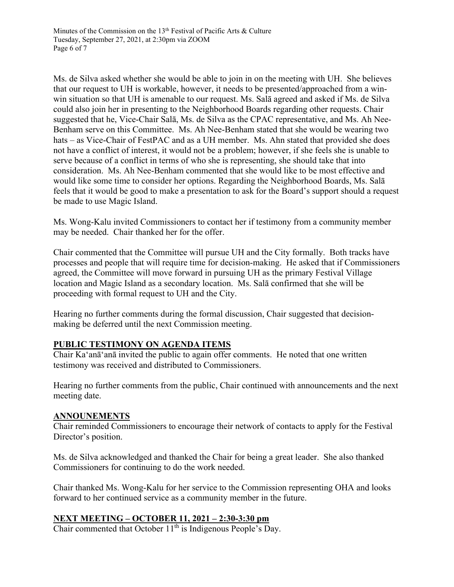Ms. de Silva asked whether she would be able to join in on the meeting with UH. She believes that our request to UH is workable, however, it needs to be presented/approached from a winwin situation so that UH is amenable to our request. Ms. Salā agreed and asked if Ms. de Silva could also join her in presenting to the Neighborhood Boards regarding other requests. Chair suggested that he, Vice-Chair Salā, Ms. de Silva as the CPAC representative, and Ms. Ah Nee-Benham serve on this Committee. Ms. Ah Nee-Benham stated that she would be wearing two hats – as Vice-Chair of FestPAC and as a UH member. Ms. Ahn stated that provided she does not have a conflict of interest, it would not be a problem; however, if she feels she is unable to serve because of a conflict in terms of who she is representing, she should take that into consideration. Ms. Ah Nee-Benham commented that she would like to be most effective and would like some time to consider her options. Regarding the Neighborhood Boards, Ms. Salā feels that it would be good to make a presentation to ask for the Board's support should a request be made to use Magic Island.

Ms. Wong-Kalu invited Commissioners to contact her if testimony from a community member may be needed. Chair thanked her for the offer.

Chair commented that the Committee will pursue UH and the City formally. Both tracks have processes and people that will require time for decision-making. He asked that if Commissioners agreed, the Committee will move forward in pursuing UH as the primary Festival Village location and Magic Island as a secondary location. Ms. Salā confirmed that she will be proceeding with formal request to UH and the City.

Hearing no further comments during the formal discussion, Chair suggested that decisionmaking be deferred until the next Commission meeting.

## **PUBLIC TESTIMONY ON AGENDA ITEMS**

Chair Ka'anā'anā invited the public to again offer comments. He noted that one written testimony was received and distributed to Commissioners.

Hearing no further comments from the public, Chair continued with announcements and the next meeting date.

#### **ANNOUNEMENTS**

Chair reminded Commissioners to encourage their network of contacts to apply for the Festival Director's position.

Ms. de Silva acknowledged and thanked the Chair for being a great leader. She also thanked Commissioners for continuing to do the work needed.

Chair thanked Ms. Wong-Kalu for her service to the Commission representing OHA and looks forward to her continued service as a community member in the future.

#### **NEXT MEETING – OCTOBER 11, 2021 – 2:30-3:30 pm**

Chair commented that October 11<sup>th</sup> is Indigenous People's Day.